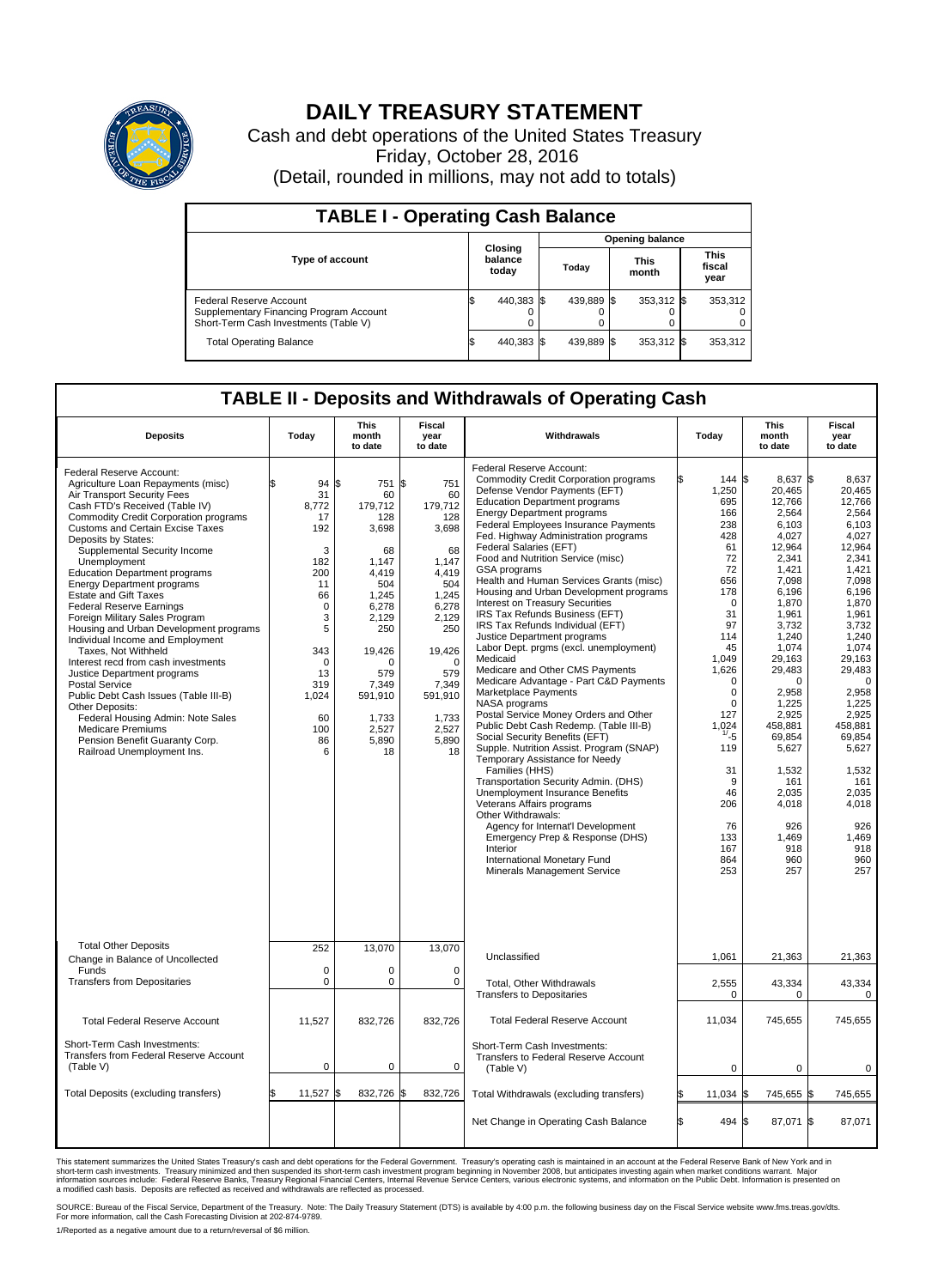

## **DAILY TREASURY STATEMENT**

Cash and debt operations of the United States Treasury Friday, October 28, 2016 (Detail, rounded in millions, may not add to totals)

| <b>TABLE I - Operating Cash Balance</b>                                                                     |     |                             |                        |            |  |                      |  |                               |  |
|-------------------------------------------------------------------------------------------------------------|-----|-----------------------------|------------------------|------------|--|----------------------|--|-------------------------------|--|
|                                                                                                             |     |                             | <b>Opening balance</b> |            |  |                      |  |                               |  |
| Type of account                                                                                             |     | Closing<br>balance<br>today |                        | Today      |  | <b>This</b><br>month |  | <b>This</b><br>fiscal<br>year |  |
| Federal Reserve Account<br>Supplementary Financing Program Account<br>Short-Term Cash Investments (Table V) |     | 440,383 \$                  |                        | 439,889 \$ |  | 353,312 \$           |  | 353,312                       |  |
| <b>Total Operating Balance</b>                                                                              | I\$ | 440,383 \$                  |                        | 439,889 \$ |  | 353,312 \$           |  | 353,312                       |  |

## **TABLE II - Deposits and Withdrawals of Operating Cash**

| <b>Deposits</b>                                                                                                                                                                                                                                                                                                                                                                                                                                                                                                                                                                                                                                                                                                                                                                                                                                                               | Today                                                                                                                                                         | This<br>month<br>to date                                                                                                                                                                          | Fiscal<br>year<br>to date                                                                                                                                                               | Withdrawals                                                                                                                                                                                                                                                                                                                                                                                                                                                                                                                                                                                                                                                                                                                                                                                                                                                                                                                                                                                                                                                                                                                                                                                                                                                                | Today |                                                                                                                                                                                                                                                                                 | This<br>month<br>to date                                                                                                                                                                                                                                                                                              | Fiscal<br>year<br>to date                                                                                                                                                                                                                                                                                          |
|-------------------------------------------------------------------------------------------------------------------------------------------------------------------------------------------------------------------------------------------------------------------------------------------------------------------------------------------------------------------------------------------------------------------------------------------------------------------------------------------------------------------------------------------------------------------------------------------------------------------------------------------------------------------------------------------------------------------------------------------------------------------------------------------------------------------------------------------------------------------------------|---------------------------------------------------------------------------------------------------------------------------------------------------------------|---------------------------------------------------------------------------------------------------------------------------------------------------------------------------------------------------|-----------------------------------------------------------------------------------------------------------------------------------------------------------------------------------------|----------------------------------------------------------------------------------------------------------------------------------------------------------------------------------------------------------------------------------------------------------------------------------------------------------------------------------------------------------------------------------------------------------------------------------------------------------------------------------------------------------------------------------------------------------------------------------------------------------------------------------------------------------------------------------------------------------------------------------------------------------------------------------------------------------------------------------------------------------------------------------------------------------------------------------------------------------------------------------------------------------------------------------------------------------------------------------------------------------------------------------------------------------------------------------------------------------------------------------------------------------------------------|-------|---------------------------------------------------------------------------------------------------------------------------------------------------------------------------------------------------------------------------------------------------------------------------------|-----------------------------------------------------------------------------------------------------------------------------------------------------------------------------------------------------------------------------------------------------------------------------------------------------------------------|--------------------------------------------------------------------------------------------------------------------------------------------------------------------------------------------------------------------------------------------------------------------------------------------------------------------|
| Federal Reserve Account:<br>Agriculture Loan Repayments (misc)<br>Air Transport Security Fees<br>Cash FTD's Received (Table IV)<br><b>Commodity Credit Corporation programs</b><br><b>Customs and Certain Excise Taxes</b><br>Deposits by States:<br>Supplemental Security Income<br>Unemployment<br><b>Education Department programs</b><br><b>Energy Department programs</b><br><b>Estate and Gift Taxes</b><br><b>Federal Reserve Earnings</b><br>Foreign Military Sales Program<br>Housing and Urban Development programs<br>Individual Income and Employment<br>Taxes. Not Withheld<br>Interest recd from cash investments<br>Justice Department programs<br><b>Postal Service</b><br>Public Debt Cash Issues (Table III-B)<br>Other Deposits:<br>Federal Housing Admin: Note Sales<br>Medicare Premiums<br>Pension Benefit Guaranty Corp.<br>Railroad Unemployment Ins. | \$<br>94<br>31<br>8,772<br>17<br>192<br>3<br>182<br>200<br>11<br>66<br>$\mathbf 0$<br>3<br>5<br>343<br>$\Omega$<br>13<br>319<br>1,024<br>60<br>100<br>86<br>6 | 751 \$<br>l\$<br>60<br>179,712<br>128<br>3,698<br>68<br>1.147<br>4.419<br>504<br>1,245<br>6,278<br>2.129<br>250<br>19,426<br>$\Omega$<br>579<br>7,349<br>591,910<br>1,733<br>2,527<br>5.890<br>18 | 751<br>60<br>179,712<br>128<br>3,698<br>68<br>1,147<br>4.419<br>504<br>1,245<br>6,278<br>2,129<br>250<br>19,426<br>$\Omega$<br>579<br>7,349<br>591,910<br>1,733<br>2,527<br>5.890<br>18 | Federal Reserve Account:<br><b>Commodity Credit Corporation programs</b><br>Defense Vendor Payments (EFT)<br><b>Education Department programs</b><br><b>Energy Department programs</b><br>Federal Employees Insurance Payments<br>Fed. Highway Administration programs<br>Federal Salaries (EFT)<br>Food and Nutrition Service (misc)<br>GSA programs<br>Health and Human Services Grants (misc)<br>Housing and Urban Development programs<br>Interest on Treasury Securities<br>IRS Tax Refunds Business (EFT)<br>IRS Tax Refunds Individual (EFT)<br>Justice Department programs<br>Labor Dept. prgms (excl. unemployment)<br>Medicaid<br>Medicare and Other CMS Payments<br>Medicare Advantage - Part C&D Payments<br>Marketplace Payments<br><b>NASA</b> programs<br>Postal Service Money Orders and Other<br>Public Debt Cash Redemp. (Table III-B)<br>Social Security Benefits (EFT)<br>Supple. Nutrition Assist. Program (SNAP)<br>Temporary Assistance for Needy<br>Families (HHS)<br>Transportation Security Admin. (DHS)<br>Unemployment Insurance Benefits<br>Veterans Affairs programs<br>Other Withdrawals:<br>Agency for Internat'l Development<br>Emergency Prep & Response (DHS)<br>Interior<br>International Monetary Fund<br>Minerals Management Service |       | 144 \$<br>1,250<br>695<br>166<br>238<br>428<br>61<br>72<br>72<br>656<br>178<br>$\mathbf 0$<br>31<br>97<br>114<br>45<br>1.049<br>1,626<br>$\mathbf 0$<br>$\mathbf 0$<br>$\mathbf 0$<br>127<br>1.024<br>$1/ - 5$<br>119<br>31<br>9<br>46<br>206<br>76<br>133<br>167<br>864<br>253 | 8,637 \$<br>20,465<br>12,766<br>2,564<br>6.103<br>4,027<br>12,964<br>2,341<br>1.421<br>7,098<br>6,196<br>1,870<br>1,961<br>3,732<br>1,240<br>1,074<br>29,163<br>29,483<br>$\mathbf 0$<br>2,958<br>1.225<br>2,925<br>458,881<br>69,854<br>5,627<br>1,532<br>161<br>2,035<br>4,018<br>926<br>1,469<br>918<br>960<br>257 | 8,637<br>20,465<br>12.766<br>2,564<br>6,103<br>4,027<br>12.964<br>2,341<br>1,421<br>7,098<br>6,196<br>1,870<br>1,961<br>3.732<br>1,240<br>1,074<br>29.163<br>29.483<br>$\mathbf 0$<br>2,958<br>1.225<br>2,925<br>458.881<br>69,854<br>5,627<br>1,532<br>161<br>2,035<br>4.018<br>926<br>1.469<br>918<br>960<br>257 |
| <b>Total Other Deposits</b><br>Change in Balance of Uncollected                                                                                                                                                                                                                                                                                                                                                                                                                                                                                                                                                                                                                                                                                                                                                                                                               | 252                                                                                                                                                           | 13,070                                                                                                                                                                                            | 13,070                                                                                                                                                                                  | Unclassified                                                                                                                                                                                                                                                                                                                                                                                                                                                                                                                                                                                                                                                                                                                                                                                                                                                                                                                                                                                                                                                                                                                                                                                                                                                               |       | 1,061                                                                                                                                                                                                                                                                           | 21,363                                                                                                                                                                                                                                                                                                                | 21,363                                                                                                                                                                                                                                                                                                             |
| Funds<br><b>Transfers from Depositaries</b>                                                                                                                                                                                                                                                                                                                                                                                                                                                                                                                                                                                                                                                                                                                                                                                                                                   | $\mathbf 0$<br>0                                                                                                                                              | $\Omega$<br>$\pmb{0}$                                                                                                                                                                             | $\Omega$<br>$\mathbf 0$                                                                                                                                                                 | Total, Other Withdrawals<br><b>Transfers to Depositaries</b>                                                                                                                                                                                                                                                                                                                                                                                                                                                                                                                                                                                                                                                                                                                                                                                                                                                                                                                                                                                                                                                                                                                                                                                                               |       | 2,555<br>$\mathbf 0$                                                                                                                                                                                                                                                            | 43,334<br>$\Omega$                                                                                                                                                                                                                                                                                                    | 43,334<br>$\mathbf 0$                                                                                                                                                                                                                                                                                              |
| <b>Total Federal Reserve Account</b>                                                                                                                                                                                                                                                                                                                                                                                                                                                                                                                                                                                                                                                                                                                                                                                                                                          | 11,527                                                                                                                                                        | 832,726                                                                                                                                                                                           | 832,726                                                                                                                                                                                 | <b>Total Federal Reserve Account</b>                                                                                                                                                                                                                                                                                                                                                                                                                                                                                                                                                                                                                                                                                                                                                                                                                                                                                                                                                                                                                                                                                                                                                                                                                                       |       | 11,034                                                                                                                                                                                                                                                                          | 745,655                                                                                                                                                                                                                                                                                                               | 745,655                                                                                                                                                                                                                                                                                                            |
| Short-Term Cash Investments:<br>Transfers from Federal Reserve Account<br>(Table V)                                                                                                                                                                                                                                                                                                                                                                                                                                                                                                                                                                                                                                                                                                                                                                                           | $\mathbf 0$                                                                                                                                                   | $\mathbf 0$                                                                                                                                                                                       | $\mathbf 0$                                                                                                                                                                             | Short-Term Cash Investments:<br>Transfers to Federal Reserve Account<br>(Table V)                                                                                                                                                                                                                                                                                                                                                                                                                                                                                                                                                                                                                                                                                                                                                                                                                                                                                                                                                                                                                                                                                                                                                                                          |       | $\mathbf 0$                                                                                                                                                                                                                                                                     | $\mathbf 0$                                                                                                                                                                                                                                                                                                           | $\mathbf 0$                                                                                                                                                                                                                                                                                                        |
| Total Deposits (excluding transfers)                                                                                                                                                                                                                                                                                                                                                                                                                                                                                                                                                                                                                                                                                                                                                                                                                                          | \$<br>11,527                                                                                                                                                  | l\$<br>832,726 \$                                                                                                                                                                                 | 832,726                                                                                                                                                                                 | Total Withdrawals (excluding transfers)                                                                                                                                                                                                                                                                                                                                                                                                                                                                                                                                                                                                                                                                                                                                                                                                                                                                                                                                                                                                                                                                                                                                                                                                                                    |       | 11,034                                                                                                                                                                                                                                                                          | l\$<br>745,655 \$                                                                                                                                                                                                                                                                                                     | 745,655                                                                                                                                                                                                                                                                                                            |
|                                                                                                                                                                                                                                                                                                                                                                                                                                                                                                                                                                                                                                                                                                                                                                                                                                                                               |                                                                                                                                                               |                                                                                                                                                                                                   |                                                                                                                                                                                         | Net Change in Operating Cash Balance                                                                                                                                                                                                                                                                                                                                                                                                                                                                                                                                                                                                                                                                                                                                                                                                                                                                                                                                                                                                                                                                                                                                                                                                                                       | Ŝ.    | 494 \$                                                                                                                                                                                                                                                                          | 87,071 \$                                                                                                                                                                                                                                                                                                             | 87,071                                                                                                                                                                                                                                                                                                             |

This statement summarizes the United States Treasury's cash and debt operations for the Federal Government. Treasury's operating cash is maintained in an account at the Federal Reserve Bank of New York and in<br>short-term ca

SOURCE: Bureau of the Fiscal Service, Department of the Treasury. Note: The Daily Treasury Statement (DTS) is available by 4:00 p.m. the following business day on the Fiscal Service website www.fms.treas.gov/dts.<br>For more